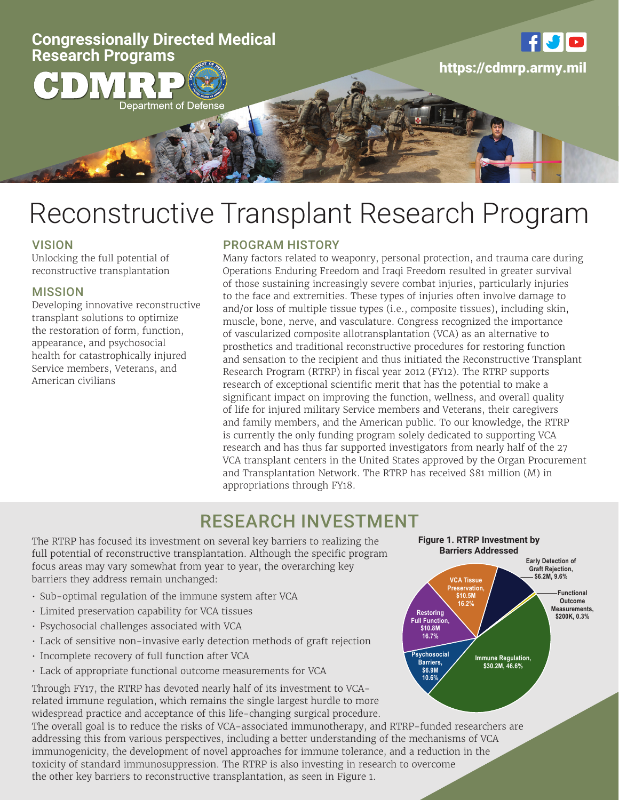

# Reconstructive Transplant Research Program

### **VISION**

Unlocking the full potential of reconstructive transplantation

#### MISSION

Developing innovative reconstructive transplant solutions to optimize the restoration of form, function, appearance, and psychosocial health for catastrophically injured Service members, Veterans, and American civilians

### PROGRAM HISTORY

Many factors related to weaponry, personal protection, and trauma care during Operations Enduring Freedom and Iraqi Freedom resulted in greater survival of those sustaining increasingly severe combat injuries, particularly injuries to the face and extremities. These types of injuries often involve damage to and/or loss of multiple tissue types (i.e., composite tissues), including skin, muscle, bone, nerve, and vasculature. Congress recognized the importance of vascularized composite allotransplantation (VCA) as an alternative to prosthetics and traditional reconstructive procedures for restoring function and sensation to the recipient and thus initiated the Reconstructive Transplant Research Program (RTRP) in fiscal year 2012 (FY12). The RTRP supports research of exceptional scientific merit that has the potential to make a significant impact on improving the function, wellness, and overall quality of life for injured military Service members and Veterans, their caregivers and family members, and the American public. To our knowledge, the RTRP is currently the only funding program solely dedicated to supporting VCA research and has thus far supported investigators from nearly half of the 27 VCA transplant centers in the United States approved by the Organ Procurement and Transplantation Network. The RTRP has received \$81 million (M) in appropriations through FY18.

## RESEARCH INVESTMENT

The RTRP has focused its investment on several key barriers to realizing the full potential of reconstructive transplantation. Although the specific program focus areas may vary somewhat from year to year, the overarching key barriers they address remain unchanged:

- Sub-optimal regulation of the immune system after VCA
- Limited preservation capability for VCA tissues
- Psychosocial challenges associated with VCA
- Lack of sensitive non-invasive early detection methods of graft rejection
- Incomplete recovery of full function after VCA
- Lack of appropriate functional outcome measurements for VCA

Through FY17, the RTRP has devoted nearly half of its investment to VCArelated immune regulation, which remains the single largest hurdle to more widespread practice and acceptance of this life-changing surgical procedure.

The overall goal is to reduce the risks of VCA-associated immunotherapy, and RTRP-funded researchers are addressing this from various perspectives, including a better understanding of the mechanisms of VCA immunogenicity, the development of novel approaches for immune tolerance, and a reduction in the toxicity of standard immunosuppression. The RTRP is also investing in research to overcome the other key barriers to reconstructive transplantation, as seen in Figure 1.